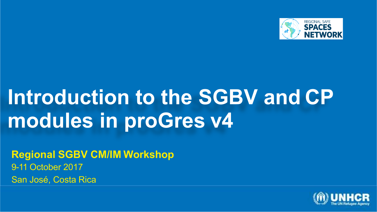

### **Introduction to the SGBV and CP modules in proGres v4**

**Regional SGBV CM/IM Workshop** 9-11 October 2017 San José, Costa Rica

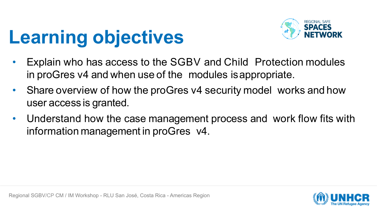## **Learning objectives**



- Explain who has access to the SGBV and Child Protection modules in proGres v4 and when use of the modules isappropriate.
- Share overview of how the proGres v4 security model works and how user access is granted.
- Understand how the case management process and work flow fits with information management in proGres v4.

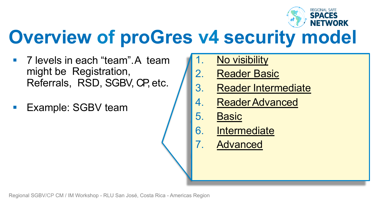

#### **Overview of proGres v4 security model**

- § 7 levels in each "team".A team might be Registration, Referrals, RSD, SGBV, CP, etc.
- § Example: SGBV team
- No visibility
- 2. Reader Basic
- 3. Reader Intermediate
- 4. ReaderAdvanced
- 5. Basic
- 6. Intermediate
- 7. Advanced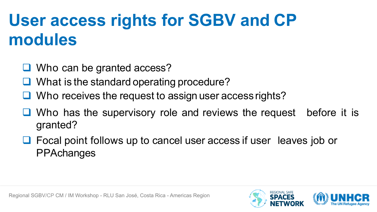#### **User access rights for SGBV and CP modules**

- $\Box$  Who can be granted access?
- $\Box$  What is the standard operating procedure?
- $\Box$  Who receives the request to assign user access rights?
- $\Box$  Who has the supervisory role and reviews the request before it is granted?
- $\Box$  Focal point follows up to cancel user access if user leaves job or **PPAchanges**

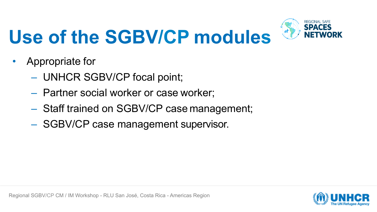# **Use of the SGBV/CP modules**



- Appropriate for
	- UNHCR SGBV/CP focal point;
	- Partner social worker or case worker;
	- Staff trained on SGBV/CP case management;
	- SGBV/CP case management supervisor.

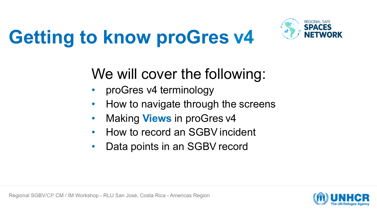



#### We will cover the following:

- proGres v4 terminology
- How to navigate through the screens
- Making **Views** in proGres v4
- How to record an SGBV incident
- Data points in an SGBV record

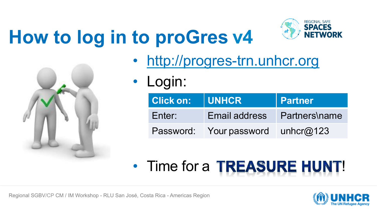## **How to log in to proGres v4**





- http://progres-trn.unhcr.org
- Login:

| Click on: UNHCR |                                   | <b>Partner</b>       |
|-----------------|-----------------------------------|----------------------|
| Enter:          | Email address                     | <b>Partners\name</b> |
|                 | Password: Your password unhcr@123 |                      |

#### • Time for a TREASURE HUNT!

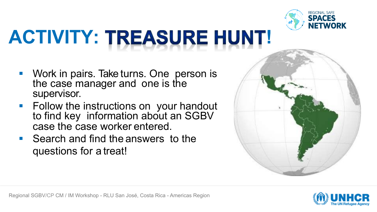

# **ACTIVITY: TREASURE HUNT!**

- § Work in pairs. Take turns. One person is the case manager and one is the supervisor.
- § Follow the instructions on your handout to find key information about an SGBV case the case worker entered.
- § Search and find the answers to the questions for a treat!



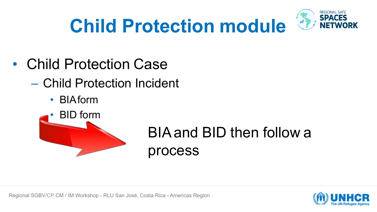

### **Child Protection module**

- Child Protection Case
	- Child Protection Incident
		- BIAform



#### BIAand BID then follow a process

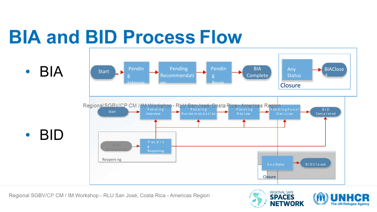### **BIA and BID Process Flow**



Regional SGBV/CP CM / IM Workshop - RLU San José, Costa Rica - Americas Region